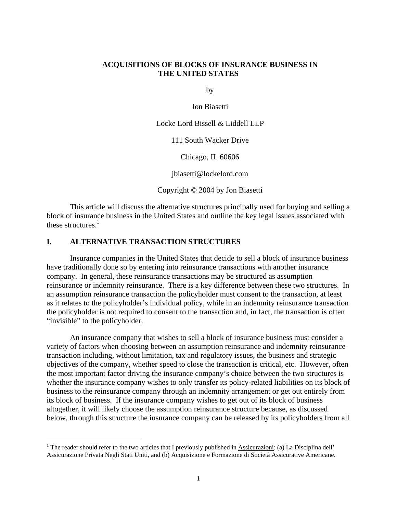## **ACQUISITIONS OF BLOCKS OF INSURANCE BUSINESS IN THE UNITED STATES**

by

Jon Biasetti

Locke Lord Bissell & Liddell LLP

111 South Wacker Drive

Chicago, IL 60606

jbiasetti@lockelord.com

Copyright © 2004 by Jon Biasetti

This article will discuss the alternative structures principally used for buying and selling a block of insurance business in the United States and outline the key legal issues associated with these structures.<sup>1</sup>

#### **I. ALTERNATIVE TRANSACTION STRUCTURES**

 $\overline{a}$ 

Insurance companies in the United States that decide to sell a block of insurance business have traditionally done so by entering into reinsurance transactions with another insurance company. In general, these reinsurance transactions may be structured as assumption reinsurance or indemnity reinsurance. There is a key difference between these two structures. In an assumption reinsurance transaction the policyholder must consent to the transaction, at least as it relates to the policyholder's individual policy, while in an indemnity reinsurance transaction the policyholder is not required to consent to the transaction and, in fact, the transaction is often "invisible" to the policyholder.

An insurance company that wishes to sell a block of insurance business must consider a variety of factors when choosing between an assumption reinsurance and indemnity reinsurance transaction including, without limitation, tax and regulatory issues, the business and strategic objectives of the company, whether speed to close the transaction is critical, etc. However, often the most important factor driving the insurance company's choice between the two structures is whether the insurance company wishes to only transfer its policy-related liabilities on its block of business to the reinsurance company through an indemnity arrangement or get out entirely from its block of business. If the insurance company wishes to get out of its block of business altogether, it will likely choose the assumption reinsurance structure because, as discussed below, through this structure the insurance company can be released by its policyholders from all

<sup>&</sup>lt;sup>1</sup> The reader should refer to the two articles that I previously published in Assicurazioni: (a) La Disciplina dell' Assicurazione Privata Negli Stati Uniti, and (b) Acquisizione e Formazione di Società Assicurative Americane.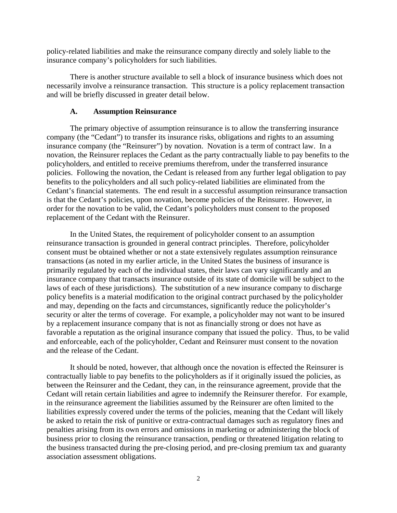policy-related liabilities and make the reinsurance company directly and solely liable to the insurance company's policyholders for such liabilities.

There is another structure available to sell a block of insurance business which does not necessarily involve a reinsurance transaction. This structure is a policy replacement transaction and will be briefly discussed in greater detail below.

#### **A. Assumption Reinsurance**

The primary objective of assumption reinsurance is to allow the transferring insurance company (the "Cedant") to transfer its insurance risks, obligations and rights to an assuming insurance company (the "Reinsurer") by novation. Novation is a term of contract law. In a novation, the Reinsurer replaces the Cedant as the party contractually liable to pay benefits to the policyholders, and entitled to receive premiums therefrom, under the transferred insurance policies. Following the novation, the Cedant is released from any further legal obligation to pay benefits to the policyholders and all such policy-related liabilities are eliminated from the Cedant's financial statements. The end result in a successful assumption reinsurance transaction is that the Cedant's policies, upon novation, become policies of the Reinsurer. However, in order for the novation to be valid, the Cedant's policyholders must consent to the proposed replacement of the Cedant with the Reinsurer.

In the United States, the requirement of policyholder consent to an assumption reinsurance transaction is grounded in general contract principles. Therefore, policyholder consent must be obtained whether or not a state extensively regulates assumption reinsurance transactions (as noted in my earlier article, in the United States the business of insurance is primarily regulated by each of the individual states, their laws can vary significantly and an insurance company that transacts insurance outside of its state of domicile will be subject to the laws of each of these jurisdictions). The substitution of a new insurance company to discharge policy benefits is a material modification to the original contract purchased by the policyholder and may, depending on the facts and circumstances, significantly reduce the policyholder's security or alter the terms of coverage. For example, a policyholder may not want to be insured by a replacement insurance company that is not as financially strong or does not have as favorable a reputation as the original insurance company that issued the policy. Thus, to be valid and enforceable, each of the policyholder, Cedant and Reinsurer must consent to the novation and the release of the Cedant.

It should be noted, however, that although once the novation is effected the Reinsurer is contractually liable to pay benefits to the policyholders as if it originally issued the policies, as between the Reinsurer and the Cedant, they can, in the reinsurance agreement, provide that the Cedant will retain certain liabilities and agree to indemnify the Reinsurer therefor. For example, in the reinsurance agreement the liabilities assumed by the Reinsurer are often limited to the liabilities expressly covered under the terms of the policies, meaning that the Cedant will likely be asked to retain the risk of punitive or extra-contractual damages such as regulatory fines and penalties arising from its own errors and omissions in marketing or administering the block of business prior to closing the reinsurance transaction, pending or threatened litigation relating to the business transacted during the pre-closing period, and pre-closing premium tax and guaranty association assessment obligations.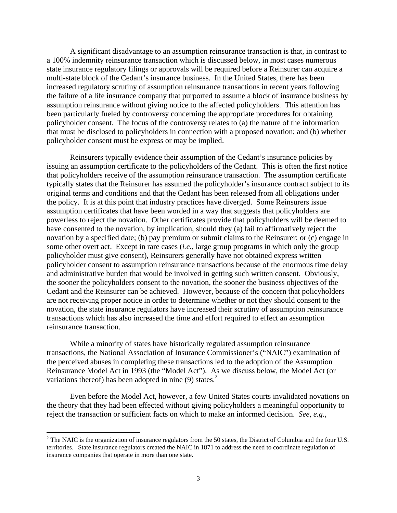A significant disadvantage to an assumption reinsurance transaction is that, in contrast to a 100% indemnity reinsurance transaction which is discussed below, in most cases numerous state insurance regulatory filings or approvals will be required before a Reinsurer can acquire a multi-state block of the Cedant's insurance business. In the United States, there has been increased regulatory scrutiny of assumption reinsurance transactions in recent years following the failure of a life insurance company that purported to assume a block of insurance business by assumption reinsurance without giving notice to the affected policyholders. This attention has been particularly fueled by controversy concerning the appropriate procedures for obtaining policyholder consent. The focus of the controversy relates to (a) the nature of the information that must be disclosed to policyholders in connection with a proposed novation; and (b) whether policyholder consent must be express or may be implied.

Reinsurers typically evidence their assumption of the Cedant's insurance policies by issuing an assumption certificate to the policyholders of the Cedant. This is often the first notice that policyholders receive of the assumption reinsurance transaction. The assumption certificate typically states that the Reinsurer has assumed the policyholder's insurance contract subject to its original terms and conditions and that the Cedant has been released from all obligations under the policy. It is at this point that industry practices have diverged. Some Reinsurers issue assumption certificates that have been worded in a way that suggests that policyholders are powerless to reject the novation. Other certificates provide that policyholders will be deemed to have consented to the novation, by implication, should they (a) fail to affirmatively reject the novation by a specified date; (b) pay premium or submit claims to the Reinsurer; or (c) engage in some other overt act. Except in rare cases (*i.e.*, large group programs in which only the group policyholder must give consent), Reinsurers generally have not obtained express written policyholder consent to assumption reinsurance transactions because of the enormous time delay and administrative burden that would be involved in getting such written consent. Obviously, the sooner the policyholders consent to the novation, the sooner the business objectives of the Cedant and the Reinsurer can be achieved. However, because of the concern that policyholders are not receiving proper notice in order to determine whether or not they should consent to the novation, the state insurance regulators have increased their scrutiny of assumption reinsurance transactions which has also increased the time and effort required to effect an assumption reinsurance transaction.

While a minority of states have historically regulated assumption reinsurance transactions, the National Association of Insurance Commissioner's ("NAIC") examination of the perceived abuses in completing these transactions led to the adoption of the Assumption Reinsurance Model Act in 1993 (the "Model Act"). As we discuss below, the Model Act (or variations thereof) has been adopted in nine (9) states. $^2$ 

Even before the Model Act, however, a few United States courts invalidated novations on the theory that they had been effected without giving policyholders a meaningful opportunity to reject the transaction or sufficient facts on which to make an informed decision. *See, e.g.*,

 $\overline{a}$ 

 $2^2$  The NAIC is the organization of insurance regulators from the 50 states, the District of Columbia and the four U.S. territories. State insurance regulators created the NAIC in 1871 to address the need to coordinate regulation of insurance companies that operate in more than one state.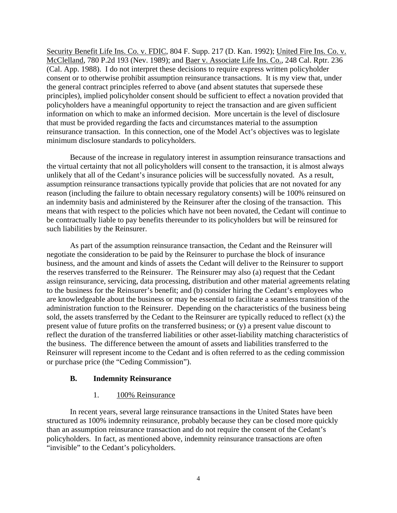Security Benefit Life Ins. Co. v. FDIC, 804 F. Supp. 217 (D. Kan. 1992); United Fire Ins. Co. v. McClelland, 780 P.2d 193 (Nev. 1989); and Baer v. Associate Life Ins. Co., 248 Cal. Rptr. 236 (Cal. App. 1988). I do not interpret these decisions to require express written policyholder consent or to otherwise prohibit assumption reinsurance transactions. It is my view that, under the general contract principles referred to above (and absent statutes that supersede these principles), implied policyholder consent should be sufficient to effect a novation provided that policyholders have a meaningful opportunity to reject the transaction and are given sufficient information on which to make an informed decision. More uncertain is the level of disclosure that must be provided regarding the facts and circumstances material to the assumption reinsurance transaction. In this connection, one of the Model Act's objectives was to legislate minimum disclosure standards to policyholders.

Because of the increase in regulatory interest in assumption reinsurance transactions and the virtual certainty that not all policyholders will consent to the transaction, it is almost always unlikely that all of the Cedant's insurance policies will be successfully novated. As a result, assumption reinsurance transactions typically provide that policies that are not novated for any reason (including the failure to obtain necessary regulatory consents) will be 100% reinsured on an indemnity basis and administered by the Reinsurer after the closing of the transaction. This means that with respect to the policies which have not been novated, the Cedant will continue to be contractually liable to pay benefits thereunder to its policyholders but will be reinsured for such liabilities by the Reinsurer.

As part of the assumption reinsurance transaction, the Cedant and the Reinsurer will negotiate the consideration to be paid by the Reinsurer to purchase the block of insurance business, and the amount and kinds of assets the Cedant will deliver to the Reinsurer to support the reserves transferred to the Reinsurer. The Reinsurer may also (a) request that the Cedant assign reinsurance, servicing, data processing, distribution and other material agreements relating to the business for the Reinsurer's benefit; and (b) consider hiring the Cedant's employees who are knowledgeable about the business or may be essential to facilitate a seamless transition of the administration function to the Reinsurer. Depending on the characteristics of the business being sold, the assets transferred by the Cedant to the Reinsurer are typically reduced to reflect (x) the present value of future profits on the transferred business; or (y) a present value discount to reflect the duration of the transferred liabilities or other asset-liability matching characteristics of the business. The difference between the amount of assets and liabilities transferred to the Reinsurer will represent income to the Cedant and is often referred to as the ceding commission or purchase price (the "Ceding Commission").

## **B. Indemnity Reinsurance**

## 1. 100% Reinsurance

In recent years, several large reinsurance transactions in the United States have been structured as 100% indemnity reinsurance, probably because they can be closed more quickly than an assumption reinsurance transaction and do not require the consent of the Cedant's policyholders. In fact, as mentioned above, indemnity reinsurance transactions are often "invisible" to the Cedant's policyholders.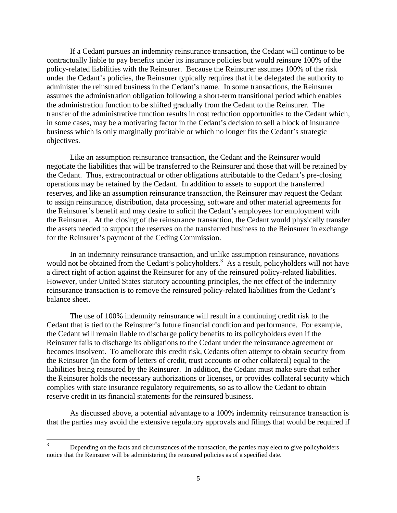If a Cedant pursues an indemnity reinsurance transaction, the Cedant will continue to be contractually liable to pay benefits under its insurance policies but would reinsure 100% of the policy-related liabilities with the Reinsurer. Because the Reinsurer assumes 100% of the risk under the Cedant's policies, the Reinsurer typically requires that it be delegated the authority to administer the reinsured business in the Cedant's name. In some transactions, the Reinsurer assumes the administration obligation following a short-term transitional period which enables the administration function to be shifted gradually from the Cedant to the Reinsurer. The transfer of the administrative function results in cost reduction opportunities to the Cedant which, in some cases, may be a motivating factor in the Cedant's decision to sell a block of insurance business which is only marginally profitable or which no longer fits the Cedant's strategic objectives.

Like an assumption reinsurance transaction, the Cedant and the Reinsurer would negotiate the liabilities that will be transferred to the Reinsurer and those that will be retained by the Cedant. Thus, extracontractual or other obligations attributable to the Cedant's pre-closing operations may be retained by the Cedant. In addition to assets to support the transferred reserves, and like an assumption reinsurance transaction, the Reinsurer may request the Cedant to assign reinsurance, distribution, data processing, software and other material agreements for the Reinsurer's benefit and may desire to solicit the Cedant's employees for employment with the Reinsurer. At the closing of the reinsurance transaction, the Cedant would physically transfer the assets needed to support the reserves on the transferred business to the Reinsurer in exchange for the Reinsurer's payment of the Ceding Commission.

In an indemnity reinsurance transaction, and unlike assumption reinsurance, novations would not be obtained from the Cedant's policyholders.<sup>3</sup> As a result, policyholders will not have a direct right of action against the Reinsurer for any of the reinsured policy-related liabilities. However, under United States statutory accounting principles, the net effect of the indemnity reinsurance transaction is to remove the reinsured policy-related liabilities from the Cedant's balance sheet.

The use of 100% indemnity reinsurance will result in a continuing credit risk to the Cedant that is tied to the Reinsurer's future financial condition and performance. For example, the Cedant will remain liable to discharge policy benefits to its policyholders even if the Reinsurer fails to discharge its obligations to the Cedant under the reinsurance agreement or becomes insolvent. To ameliorate this credit risk, Cedants often attempt to obtain security from the Reinsurer (in the form of letters of credit, trust accounts or other collateral) equal to the liabilities being reinsured by the Reinsurer. In addition, the Cedant must make sure that either the Reinsurer holds the necessary authorizations or licenses, or provides collateral security which complies with state insurance regulatory requirements, so as to allow the Cedant to obtain reserve credit in its financial statements for the reinsured business.

As discussed above, a potential advantage to a 100% indemnity reinsurance transaction is that the parties may avoid the extensive regulatory approvals and filings that would be required if

 3 Depending on the facts and circumstances of the transaction, the parties may elect to give policyholders notice that the Reinsurer will be administering the reinsured policies as of a specified date.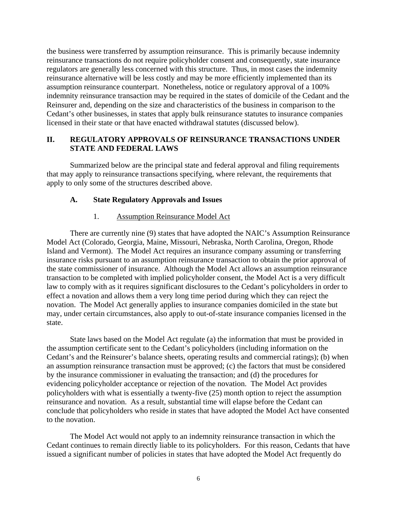the business were transferred by assumption reinsurance. This is primarily because indemnity reinsurance transactions do not require policyholder consent and consequently, state insurance regulators are generally less concerned with this structure. Thus, in most cases the indemnity reinsurance alternative will be less costly and may be more efficiently implemented than its assumption reinsurance counterpart. Nonetheless, notice or regulatory approval of a 100% indemnity reinsurance transaction may be required in the states of domicile of the Cedant and the Reinsurer and, depending on the size and characteristics of the business in comparison to the Cedant's other businesses, in states that apply bulk reinsurance statutes to insurance companies licensed in their state or that have enacted withdrawal statutes (discussed below).

# **II. REGULATORY APPROVALS OF REINSURANCE TRANSACTIONS UNDER STATE AND FEDERAL LAWS**

Summarized below are the principal state and federal approval and filing requirements that may apply to reinsurance transactions specifying, where relevant, the requirements that apply to only some of the structures described above.

## **A. State Regulatory Approvals and Issues**

## 1. Assumption Reinsurance Model Act

There are currently nine (9) states that have adopted the NAIC's Assumption Reinsurance Model Act (Colorado, Georgia, Maine, Missouri, Nebraska, North Carolina, Oregon, Rhode Island and Vermont). The Model Act requires an insurance company assuming or transferring insurance risks pursuant to an assumption reinsurance transaction to obtain the prior approval of the state commissioner of insurance. Although the Model Act allows an assumption reinsurance transaction to be completed with implied policyholder consent, the Model Act is a very difficult law to comply with as it requires significant disclosures to the Cedant's policyholders in order to effect a novation and allows them a very long time period during which they can reject the novation. The Model Act generally applies to insurance companies domiciled in the state but may, under certain circumstances, also apply to out-of-state insurance companies licensed in the state.

State laws based on the Model Act regulate (a) the information that must be provided in the assumption certificate sent to the Cedant's policyholders (including information on the Cedant's and the Reinsurer's balance sheets, operating results and commercial ratings); (b) when an assumption reinsurance transaction must be approved; (c) the factors that must be considered by the insurance commissioner in evaluating the transaction; and (d) the procedures for evidencing policyholder acceptance or rejection of the novation. The Model Act provides policyholders with what is essentially a twenty-five (25) month option to reject the assumption reinsurance and novation. As a result, substantial time will elapse before the Cedant can conclude that policyholders who reside in states that have adopted the Model Act have consented to the novation.

The Model Act would not apply to an indemnity reinsurance transaction in which the Cedant continues to remain directly liable to its policyholders. For this reason, Cedants that have issued a significant number of policies in states that have adopted the Model Act frequently do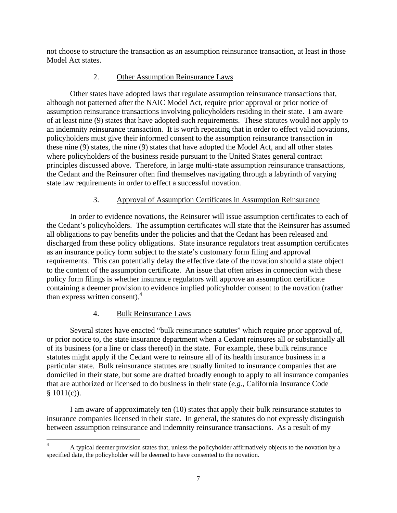not choose to structure the transaction as an assumption reinsurance transaction, at least in those Model Act states.

# 2. Other Assumption Reinsurance Laws

Other states have adopted laws that regulate assumption reinsurance transactions that, although not patterned after the NAIC Model Act, require prior approval or prior notice of assumption reinsurance transactions involving policyholders residing in their state. I am aware of at least nine (9) states that have adopted such requirements. These statutes would not apply to an indemnity reinsurance transaction. It is worth repeating that in order to effect valid novations, policyholders must give their informed consent to the assumption reinsurance transaction in these nine (9) states, the nine (9) states that have adopted the Model Act, and all other states where policyholders of the business reside pursuant to the United States general contract principles discussed above. Therefore, in large multi-state assumption reinsurance transactions, the Cedant and the Reinsurer often find themselves navigating through a labyrinth of varying state law requirements in order to effect a successful novation.

# 3. Approval of Assumption Certificates in Assumption Reinsurance

In order to evidence novations, the Reinsurer will issue assumption certificates to each of the Cedant's policyholders. The assumption certificates will state that the Reinsurer has assumed all obligations to pay benefits under the policies and that the Cedant has been released and discharged from these policy obligations. State insurance regulators treat assumption certificates as an insurance policy form subject to the state's customary form filing and approval requirements. This can potentially delay the effective date of the novation should a state object to the content of the assumption certificate. An issue that often arises in connection with these policy form filings is whether insurance regulators will approve an assumption certificate containing a deemer provision to evidence implied policyholder consent to the novation (rather than express written consent).<sup>4</sup>

# 4. Bulk Reinsurance Laws

Several states have enacted "bulk reinsurance statutes" which require prior approval of, or prior notice to, the state insurance department when a Cedant reinsures all or substantially all of its business (or a line or class thereof) in the state. For example, these bulk reinsurance statutes might apply if the Cedant were to reinsure all of its health insurance business in a particular state. Bulk reinsurance statutes are usually limited to insurance companies that are domiciled in their state, but some are drafted broadly enough to apply to all insurance companies that are authorized or licensed to do business in their state (*e.g.*, California Insurance Code  $$1011(c)$ ).

I am aware of approximately ten (10) states that apply their bulk reinsurance statutes to insurance companies licensed in their state. In general, the statutes do not expressly distinguish between assumption reinsurance and indemnity reinsurance transactions. As a result of my

 $\overline{a}$ 4 A typical deemer provision states that, unless the policyholder affirmatively objects to the novation by a specified date, the policyholder will be deemed to have consented to the novation.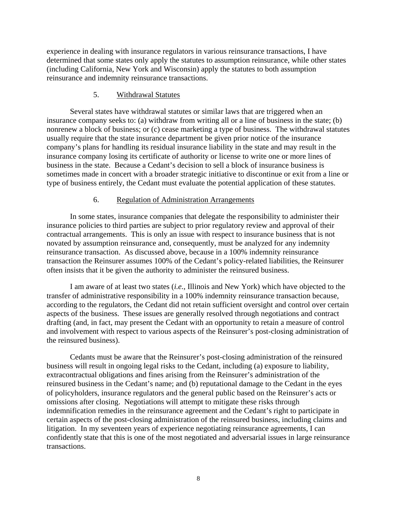experience in dealing with insurance regulators in various reinsurance transactions, I have determined that some states only apply the statutes to assumption reinsurance, while other states (including California, New York and Wisconsin) apply the statutes to both assumption reinsurance and indemnity reinsurance transactions.

#### 5. Withdrawal Statutes

Several states have withdrawal statutes or similar laws that are triggered when an insurance company seeks to: (a) withdraw from writing all or a line of business in the state; (b) nonrenew a block of business; or (c) cease marketing a type of business. The withdrawal statutes usually require that the state insurance department be given prior notice of the insurance company's plans for handling its residual insurance liability in the state and may result in the insurance company losing its certificate of authority or license to write one or more lines of business in the state. Because a Cedant's decision to sell a block of insurance business is sometimes made in concert with a broader strategic initiative to discontinue or exit from a line or type of business entirely, the Cedant must evaluate the potential application of these statutes.

### 6. Regulation of Administration Arrangements

In some states, insurance companies that delegate the responsibility to administer their insurance policies to third parties are subject to prior regulatory review and approval of their contractual arrangements. This is only an issue with respect to insurance business that is not novated by assumption reinsurance and, consequently, must be analyzed for any indemnity reinsurance transaction. As discussed above, because in a 100% indemnity reinsurance transaction the Reinsurer assumes 100% of the Cedant's policy-related liabilities, the Reinsurer often insists that it be given the authority to administer the reinsured business.

I am aware of at least two states (*i.e.*, Illinois and New York) which have objected to the transfer of administrative responsibility in a 100% indemnity reinsurance transaction because, according to the regulators, the Cedant did not retain sufficient oversight and control over certain aspects of the business. These issues are generally resolved through negotiations and contract drafting (and, in fact, may present the Cedant with an opportunity to retain a measure of control and involvement with respect to various aspects of the Reinsurer's post-closing administration of the reinsured business).

Cedants must be aware that the Reinsurer's post-closing administration of the reinsured business will result in ongoing legal risks to the Cedant, including (a) exposure to liability, extracontractual obligations and fines arising from the Reinsurer's administration of the reinsured business in the Cedant's name; and (b) reputational damage to the Cedant in the eyes of policyholders, insurance regulators and the general public based on the Reinsurer's acts or omissions after closing. Negotiations will attempt to mitigate these risks through indemnification remedies in the reinsurance agreement and the Cedant's right to participate in certain aspects of the post-closing administration of the reinsured business, including claims and litigation. In my seventeen years of experience negotiating reinsurance agreements, I can confidently state that this is one of the most negotiated and adversarial issues in large reinsurance transactions.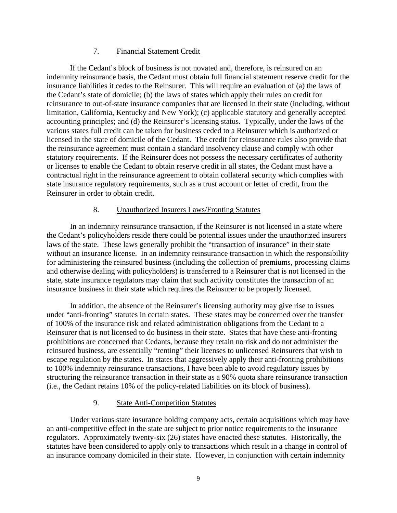## 7. Financial Statement Credit

If the Cedant's block of business is not novated and, therefore, is reinsured on an indemnity reinsurance basis, the Cedant must obtain full financial statement reserve credit for the insurance liabilities it cedes to the Reinsurer. This will require an evaluation of (a) the laws of the Cedant's state of domicile; (b) the laws of states which apply their rules on credit for reinsurance to out-of-state insurance companies that are licensed in their state (including, without limitation, California, Kentucky and New York); (c) applicable statutory and generally accepted accounting principles; and (d) the Reinsurer's licensing status. Typically, under the laws of the various states full credit can be taken for business ceded to a Reinsurer which is authorized or licensed in the state of domicile of the Cedant. The credit for reinsurance rules also provide that the reinsurance agreement must contain a standard insolvency clause and comply with other statutory requirements. If the Reinsurer does not possess the necessary certificates of authority or licenses to enable the Cedant to obtain reserve credit in all states, the Cedant must have a contractual right in the reinsurance agreement to obtain collateral security which complies with state insurance regulatory requirements, such as a trust account or letter of credit, from the Reinsurer in order to obtain credit.

### 8. Unauthorized Insurers Laws/Fronting Statutes

In an indemnity reinsurance transaction, if the Reinsurer is not licensed in a state where the Cedant's policyholders reside there could be potential issues under the unauthorized insurers laws of the state. These laws generally prohibit the "transaction of insurance" in their state without an insurance license. In an indemnity reinsurance transaction in which the responsibility for administering the reinsured business (including the collection of premiums, processing claims and otherwise dealing with policyholders) is transferred to a Reinsurer that is not licensed in the state, state insurance regulators may claim that such activity constitutes the transaction of an insurance business in their state which requires the Reinsurer to be properly licensed.

In addition, the absence of the Reinsurer's licensing authority may give rise to issues under "anti-fronting" statutes in certain states. These states may be concerned over the transfer of 100% of the insurance risk and related administration obligations from the Cedant to a Reinsurer that is not licensed to do business in their state. States that have these anti-fronting prohibitions are concerned that Cedants, because they retain no risk and do not administer the reinsured business, are essentially "renting" their licenses to unlicensed Reinsurers that wish to escape regulation by the states. In states that aggressively apply their anti-fronting prohibitions to 100% indemnity reinsurance transactions, I have been able to avoid regulatory issues by structuring the reinsurance transaction in their state as a 90% quota share reinsurance transaction (i.e., the Cedant retains 10% of the policy-related liabilities on its block of business).

## 9. State Anti-Competition Statutes

Under various state insurance holding company acts, certain acquisitions which may have an anti-competitive effect in the state are subject to prior notice requirements to the insurance regulators. Approximately twenty-six (26) states have enacted these statutes. Historically, the statutes have been considered to apply only to transactions which result in a change in control of an insurance company domiciled in their state. However, in conjunction with certain indemnity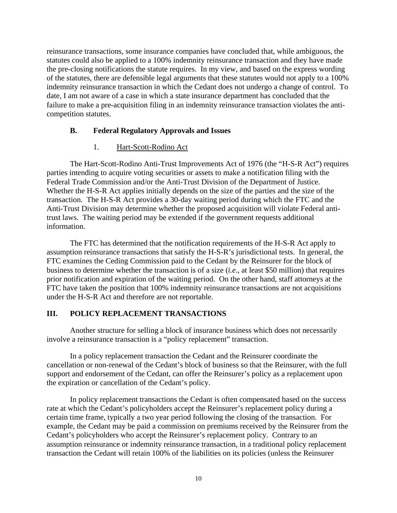reinsurance transactions, some insurance companies have concluded that, while ambiguous, the statutes could also be applied to a 100% indemnity reinsurance transaction and they have made the pre-closing notifications the statute requires. In my view, and based on the express wording of the statutes, there are defensible legal arguments that these statutes would not apply to a 100% indemnity reinsurance transaction in which the Cedant does not undergo a change of control. To date, I am not aware of a case in which a state insurance department has concluded that the failure to make a pre-acquisition filing in an indemnity reinsurance transaction violates the anticompetition statutes.

### **B. Federal Regulatory Approvals and Issues**

### 1. Hart-Scott-Rodino Act

The Hart-Scott-Rodino Anti-Trust Improvements Act of 1976 (the "H-S-R Act") requires parties intending to acquire voting securities or assets to make a notification filing with the Federal Trade Commission and/or the Anti-Trust Division of the Department of Justice. Whether the H-S-R Act applies initially depends on the size of the parties and the size of the transaction. The H-S-R Act provides a 30-day waiting period during which the FTC and the Anti-Trust Division may determine whether the proposed acquisition will violate Federal antitrust laws. The waiting period may be extended if the government requests additional information.

The FTC has determined that the notification requirements of the H-S-R Act apply to assumption reinsurance transactions that satisfy the H-S-R's jurisdictional tests. In general, the FTC examines the Ceding Commission paid to the Cedant by the Reinsurer for the block of business to determine whether the transaction is of a size (*i.e.*, at least \$50 million) that requires prior notification and expiration of the waiting period. On the other hand, staff attorneys at the FTC have taken the position that 100% indemnity reinsurance transactions are not acquisitions under the H-S-R Act and therefore are not reportable.

## **III. POLICY REPLACEMENT TRANSACTIONS**

Another structure for selling a block of insurance business which does not necessarily involve a reinsurance transaction is a "policy replacement" transaction.

In a policy replacement transaction the Cedant and the Reinsurer coordinate the cancellation or non-renewal of the Cedant's block of business so that the Reinsurer, with the full support and endorsement of the Cedant, can offer the Reinsurer's policy as a replacement upon the expiration or cancellation of the Cedant's policy.

In policy replacement transactions the Cedant is often compensated based on the success rate at which the Cedant's policyholders accept the Reinsurer's replacement policy during a certain time frame, typically a two year period following the closing of the transaction. For example, the Cedant may be paid a commission on premiums received by the Reinsurer from the Cedant's policyholders who accept the Reinsurer's replacement policy. Contrary to an assumption reinsurance or indemnity reinsurance transaction, in a traditional policy replacement transaction the Cedant will retain 100% of the liabilities on its policies (unless the Reinsurer